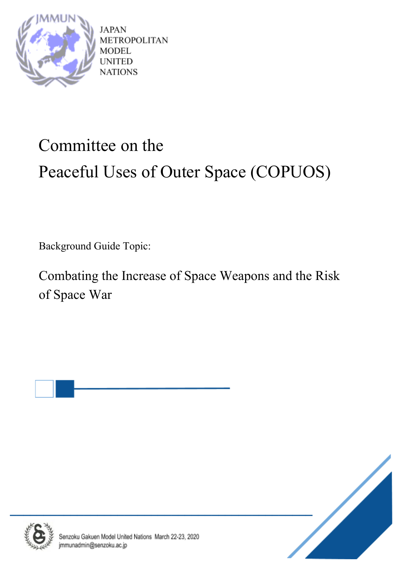

**JAPAN** METROPOLITAN **MODEL** UNITED **NATIONS** 

# Committee on the Peaceful Uses of Outer Space (COPUOS)

Background Guide Topic:

Combating the Increase of Space Weapons and the Risk of Space War





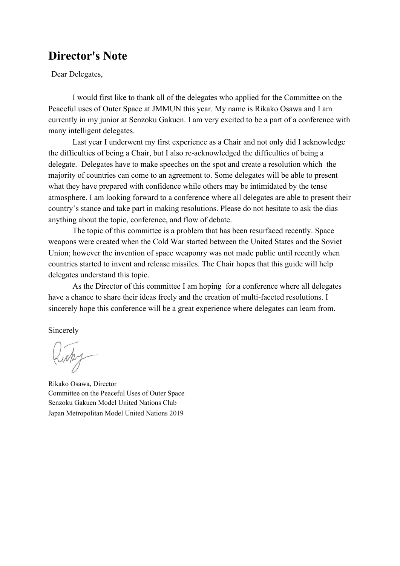### **Director's Note**

Dear Delegates,

I would first like to thank all of the delegates who applied for the Committee on the Peaceful uses of Outer Space at JMMUN this year. My name is Rikako Osawa and I am currently in my junior at Senzoku Gakuen. I am very excited to be a part of a conference with many intelligent delegates.

Last year I underwent my first experience as a Chair and not only did I acknowledge the difficulties of being a Chair, but I also re-acknowledged the difficulties of being a delegate. Delegates have to make speeches on the spot and create a resolution which the majority of countries can come to an agreement to. Some delegates will be able to present what they have prepared with confidence while others may be intimidated by the tense atmosphere. I am looking forward to a conference where all delegates are able to present their country's stance and take part in making resolutions. Please do not hesitate to ask the dias anything about the topic, conference, and flow of debate.

The topic of this committee is a problem that has been resurfaced recently. Space weapons were created when the Cold War started between the United States and the Soviet Union; however the invention of space weaponry was not made public until recently when countries started to invent and release missiles. The Chair hopes that this guide will help delegates understand this topic.

As the Director of this committee I am hoping for a conference where all delegates have a chance to share their ideas freely and the creation of multi-faceted resolutions. I sincerely hope this conference will be a great experience where delegates can learn from.

Sincerely

Rikako Osawa, Director Committee on the Peaceful Uses of Outer Space Senzoku Gakuen Model United Nations Club Japan Metropolitan Model United Nations 2019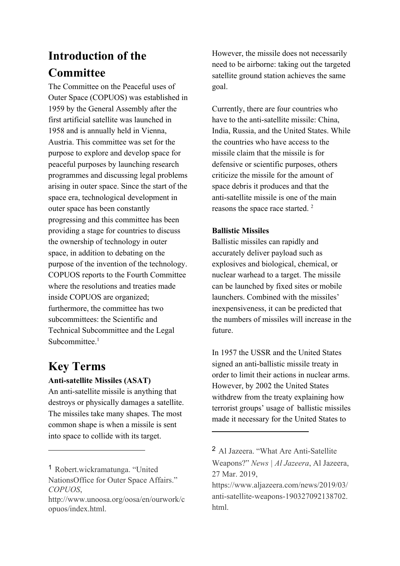# **Introduction of the Committee**

The Committee on the Peaceful uses of Outer Space (COPUOS) was established in 1959 by the General Assembly after the first artificial satellite was launched in 1958 and is annually held in Vienna, Austria. This committee was set for the purpose to explore and develop space for peaceful purposes by launching research programmes and discussing legal problems arising in outer space. Since the start of the space era, technological development in outer space has been constantly progressing and this committee has been providing a stage for countries to discuss the ownership of technology in outer space, in addition to debating on the purpose of the invention of the technology. COPUOS reports to the Fourth Committee where the resolutions and treaties made inside COPUOS are organized; furthermore, the committee has two subcommittees: the Scientific and Technical Subcommittee and the Legal Subcommittee. $<sup>1</sup>$ </sup>

# **Key Terms**

#### **Anti-satellite Missiles (ASAT)**

An anti-satellite missile is anything that destroys or physically damages a satellite. The missiles take many shapes. The most common shape is when a missile is sent into space to collide with its target.

<sup>1</sup> Robert.wickramatunga. "United NationsOffice for Outer Space Affairs." *COPUOS*,

However, the missile does not necessarily need to be airborne: taking out the targeted satellite ground station achieves the same goal.

Currently, there are four countries who have to the anti-satellite missile: China, India, Russia, and the United States. While the countries who have access to the missile claim that the missile is for defensive or scientific purposes, others criticize the missile for the amount of space debris it produces and that the anti-satellite missile is one of the main reasons the space race started. <sup>2</sup>

#### **Ballistic Missiles**

Ballistic missiles can rapidly and accurately deliver payload such as explosives and biological, chemical, or nuclear warhead to a target. The missile can be launched by fixed sites or mobile launchers. Combined with the missiles' inexpensiveness, it can be predicted that the numbers of missiles will increase in the future.

In 1957 the USSR and the United States signed an anti-ballistic missile treaty in order to limit their actions in nuclear arms. However, by 2002 the United States withdrew from the treaty explaining how terrorist groups' usage of ballistic missiles made it necessary for the United States to

http://www.unoosa.org/oosa/en/ourwork/c opuos/index.html.

<sup>2</sup> Al Jazeera. "What Are Anti-Satellite Weapons?" *News | Al Jazeera*, Al Jazeera, 27 Mar. 2019,

https://www.aljazeera.com/news/2019/03/ anti-satellite-weapons-190327092138702. html.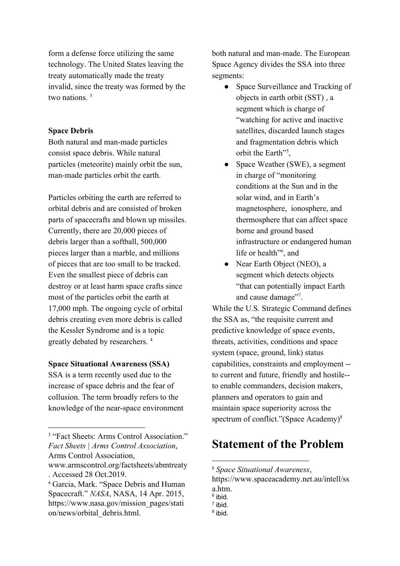form a defense force utilizing the same technology. The United States leaving the treaty automatically made the treaty invalid, since the treaty was formed by the two nations <sup>3</sup>

#### **Space Debris**

Both natural and man-made particles consist space debris. While natural particles (meteorite) mainly orbit the sun, man-made particles orbit the earth.

Particles orbiting the earth are referred to orbital debris and are consisted of broken parts of spacecrafts and blown up missiles. Currently, there are 20,000 pieces of debris larger than a softball, 500,000 pieces larger than a marble, and millions of pieces that are too small to be tracked. Even the smallest piece of debris can destroy or at least harm space crafts since most of the particles orbit the earth at 17,000 mph. The ongoing cycle of orbital debris creating even more debris is called the Kessler Syndrome and is a topic greatly debated by researchers. <sup>4</sup>

#### **Space Situational Awareness (SSA)**

SSA is a term recently used due to the increase of space debris and the fear of collusion. The term broadly refers to the knowledge of the near-space environment both natural and man-made. The European Space Agency divides the SSA into three segments:

- Space Surveillance and Tracking of objects in earth orbit (SST) , a segment which is charge of "watching for active and inactive satellites, discarded launch stages and fragmentation debris which orbit the Earth<sup>"5</sup>,
- Space Weather (SWE), a segment in charge of "monitoring conditions at the Sun and in the solar wind, and in Earth's magnetosphere, ionosphere, and thermosphere that can affect space borne and ground based infrastructure or endangered human life or health"<sup>6</sup>, and
- Near Earth Object (NEO), a segment which detects objects "that can potentially impact Earth and cause damage"<sup>7</sup>.

While the U.S. Strategic Command defines the SSA as, "the requisite current and predictive knowledge of space events, threats, activities, conditions and space system (space, ground, link) status capabilities, constraints and employment - to current and future, friendly and hostile- to enable commanders, decision makers, planners and operators to gain and maintain space superiority across the spectrum of conflict."(Space Academy)<sup>8</sup>

# **Statement of the Problem**

<sup>&</sup>lt;sup>3</sup> "Fact Sheets: Arms Control Association." *Fact Sheets | Arms Control Association*, Arms Control Association,

www.armscontrol.org/factsheets/abmtreaty . Accessed 28 Oct.2019.

<sup>4</sup> Garcia, Mark. "Space Debris and Human Spacecraft." *NASA*, NASA, 14 Apr. 2015, https://www.nasa.gov/mission\_pages/stati on/news/orbital\_debris.html.

<sup>5</sup> *Space Situational Awareness*,

https://www.spaceacademy.net.au/intell/ss a.htm.

<sup>&</sup>lt;sup>6</sup> ibid.

 $<sup>7</sup>$  ibid.</sup>

<sup>&</sup>lt;sup>8</sup> ibid.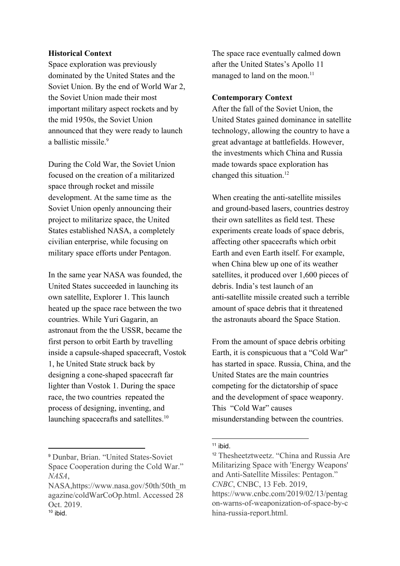#### **Historical Context**

Space exploration was previously dominated by the United States and the Soviet Union. By the end of World War 2, the Soviet Union made their most important military aspect rockets and by the mid 1950s, the Soviet Union announced that they were ready to launch a ballistic missile.<sup>9</sup>

During the Cold War, the Soviet Union focused on the creation of a militarized space through rocket and missile development. At the same time as the Soviet Union openly announcing their project to militarize space, the United States established NASA, a completely civilian enterprise, while focusing on military space efforts under Pentagon.

In the same year NASA was founded, the United States succeeded in launching its own satellite, Explorer 1. This launch heated up the space race between the two countries. While Yuri Gagarin, an astronaut from the the USSR, became the first person to orbit Earth by travelling inside a capsule-shaped spacecraft, Vostok 1, he United State struck back by designing a cone-shaped spacecraft far lighter than Vostok 1. During the space race, the two countries repeated the process of designing, inventing, and launching spacecrafts and satellites.<sup>10</sup>

The space race eventually calmed down after the United States's Apollo 11 managed to land on the moon.<sup>11</sup>

#### **Contemporary Context**

After the fall of the Soviet Union, the United States gained dominance in satellite technology, allowing the country to have a great advantage at battlefields. However, the investments which China and Russia made towards space exploration has changed this situation.<sup>12</sup>

When creating the anti-satellite missiles and ground-based lasers, countries destroy their own satellites as field test. These experiments create loads of space debris, affecting other spacecrafts which orbit Earth and even Earth itself. For example, when China blew up one of its weather satellites, it produced over 1,600 pieces of debris. India's test launch of an anti-satellite missile created such a terrible amount of space debris that it threatened the astronauts aboard the Space Station.

From the amount of space debris orbiting Earth, it is conspicuous that a "Cold War" has started in space. Russia, China, and the United States are the main countries competing for the dictatorship of space and the development of space weaponry. This "Cold War" causes misunderstanding between the countries.

<sup>9</sup> Dunbar, Brian. "United States-Soviet Space Cooperation during the Cold War." *NASA*,

NASA,https://www.nasa.gov/50th/50th\_m agazine/coldWarCoOp.html. Accessed 28 Oct. 2019.  $10$  ibid.

 $11$  ibid.

<sup>12</sup> Thesheetztweetz. "China and Russia Are Militarizing Space with 'Energy Weapons' and Anti-Satellite Missiles: Pentagon." *CNBC*, CNBC, 13 Feb. 2019, https://www.cnbc.com/2019/02/13/pentag on-warns-of-weaponization-of-space-by-c hina-russia-report.html.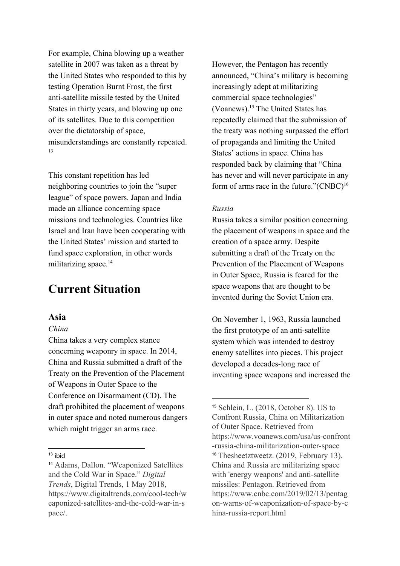For example, China blowing up a weather satellite in 2007 was taken as a threat by the United States who responded to this by testing Operation Burnt Frost, the first anti-satellite missile tested by the United States in thirty years, and blowing up one of its satellites. Due to this competition over the dictatorship of space, misunderstandings are constantly repeated. 13

This constant repetition has led neighboring countries to join the "super league" of space powers. Japan and India made an alliance concerning space missions and technologies. Countries like Israel and Iran have been cooperating with the United States' mission and started to fund space exploration, in other words militarizing space.<sup>14</sup>

### **Current Situation**

#### **Asia**

#### *China*

China takes a very complex stance concerning weaponry in space. In 2014, China and Russia submitted a draft of the Treaty on the Prevention of the Placement of Weapons in Outer Space to the Conference on Disarmament (CD). The draft prohibited the placement of weapons in outer space and noted numerous dangers which might trigger an arms race.

However, the Pentagon has recently announced, "China's military is becoming increasingly adept at militarizing commercial space technologies" (Voanews). $15$  The United States has repeatedly claimed that the submission of the treaty was nothing surpassed the effort of propaganda and limiting the United States' actions in space. China has responded back by claiming that "China has never and will never participate in any form of arms race in the future." $(CNBC)^{16}$ 

#### *Russia*

Russia takes a similar position concerning the placement of weapons in space and the creation of a space army. Despite submitting a draft of the Treaty on the Prevention of the Placement of Weapons in Outer Space, Russia is feared for the space weapons that are thought to be invented during the Soviet Union era.

On November 1, 1963, Russia launched the first prototype of an anti-satellite system which was intended to destroy enemy satellites into pieces. This project developed a decades-long race of inventing space weapons and increased the

 $13$  ibid

<sup>14</sup> Adams, Dallon. "Weaponized Satellites and the Cold War in Space." *Digital Trends*, Digital Trends, 1 May 2018, https://www.digitaltrends.com/cool-tech/w eaponized-satellites-and-the-cold-war-in-s pace/.

<sup>15</sup> Schlein, L. (2018, October 8). US to Confront Russia, China on Militarization of Outer Space. Retrieved from https://www.voanews.com/usa/us-confront -russia-china-militarization-outer-space <sup>16</sup> Thesheetztweetz. (2019, February 13). China and Russia are militarizing space with 'energy weapons' and anti-satellite missiles: Pentagon. Retrieved from https://www.cnbc.com/2019/02/13/pentag on-warns-of-weaponization-of-space-by-c hina-russia-report.html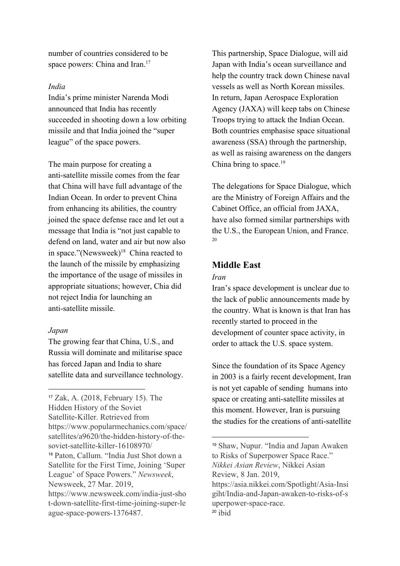number of countries considered to be space powers: China and Iran.<sup>17</sup>

#### *India*

India's prime minister Narenda Modi announced that India has recently succeeded in shooting down a low orbiting missile and that India joined the "super league" of the space powers.

The main purpose for creating a anti-satellite missile comes from the fear that China will have full advantage of the Indian Ocean. In order to prevent China from enhancing its abilities, the country joined the space defense race and let out a message that India is "not just capable to defend on land, water and air but now also in space."(Newsweek) $18$  China reacted to the launch of the missile by emphasizing the importance of the usage of missiles in appropriate situations; however, Chia did not reject India for launching an anti-satellite missile.

#### *Japan*

The growing fear that China, U.S., and Russia will dominate and militarise space has forced Japan and India to share satellite data and surveillance technology. This partnership, Space Dialogue, will aid Japan with India's ocean surveillance and help the country track down Chinese naval vessels as well as North Korean missiles. In return, Japan Aerospace Exploration Agency (JAXA) will keep tabs on Chinese Troops trying to attack the Indian Ocean. Both countries emphasise space situational awareness (SSA) through the partnership, as well as raising awareness on the dangers China bring to space. $19$ 

The delegations for Space Dialogue, which are the Ministry of Foreign Affairs and the Cabinet Office, an official from JAXA, have also formed similar partnerships with the U.S., the European Union, and France. 20

#### **Middle East**

#### *Iran*

Iran's space development is unclear due to the lack of public announcements made by the country. What is known is that Iran has recently started to proceed in the development of counter space activity, in order to attack the U.S. space system.

Since the foundation of its Space Agency in 2003 is a fairly recent development, Iran is not yet capable of sending humans into space or creating anti-satellite missiles at this moment. However, Iran is pursuing the studies for the creations of anti-satellite

<sup>17</sup> Zak, A. (2018, February 15). The Hidden History of the Soviet Satellite-Killer. Retrieved from https://www.popularmechanics.com/space/ satellites/a9620/the-hidden-history-of-thesoviet-satellite-killer-16108970/ <sup>18</sup> Paton, Callum. "India Just Shot down a Satellite for the First Time, Joining 'Super League' of Space Powers." *Newsweek*, Newsweek, 27 Mar. 2019, https://www.newsweek.com/india-just-sho t-down-satellite-first-time-joining-super-le ague-space-powers-1376487.

<sup>19</sup> Shaw, Nupur. "India and Japan Awaken to Risks of Superpower Space Race." *Nikkei Asian Review*, Nikkei Asian Review, 8 Jan. 2019, https://asia.nikkei.com/Spotlight/Asia-Insi giht/India-and-Japan-awaken-to-risks-of-s

uperpower-space-race.  $20$  ibid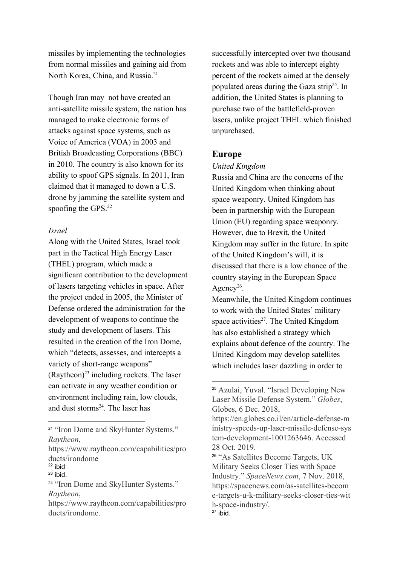missiles by implementing the technologies from normal missiles and gaining aid from North Korea, China, and Russia.<sup>21</sup>

Though Iran may not have created an anti-satellite missile system, the nation has managed to make electronic forms of attacks against space systems, such as Voice of America (VOA) in 2003 and British Broadcasting Corporations (BBC) in 2010. The country is also known for its ability to spoof GPS signals. In 2011, Iran claimed that it managed to down a U.S. drone by jamming the satellite system and spoofing the GPS.<sup>22</sup>

#### *Israel*

Along with the United States, Israel took part in the Tactical High Energy Laser (THEL) program, which made a significant contribution to the development of lasers targeting vehicles in space. After the project ended in 2005, the Minister of Defense ordered the administration for the development of weapons to continue the study and development of lasers. This resulted in the creation of the Iron Dome, which "detects, assesses, and intercepts a variety of short-range weapons" (Raytheon) $^{23}$  including rockets. The laser can activate in any weather condition or environment including rain, low clouds, and dust storms<sup>24</sup>. The laser has

successfully intercepted over two thousand rockets and was able to intercept eighty percent of the rockets aimed at the densely populated areas during the Gaza strip<sup>25</sup>. In addition, the United States is planning to purchase two of the battlefield-proven lasers, unlike project THEL which finished unpurchased.

#### **Europe**

#### *United Kingdom*

Russia and China are the concerns of the United Kingdom when thinking about space weaponry. United Kingdom has been in partnership with the European Union (EU) regarding space weaponry. However, due to Brexit, the United Kingdom may suffer in the future. In spite of the United Kingdom's will, it is discussed that there is a low chance of the country staying in the European Space Agency<sup>26</sup>.

Meanwhile, the United Kingdom continues to work with the United States' military space activities $2^7$ . The United Kingdom has also established a strategy which explains about defence of the country. The United Kingdom may develop satellites which includes laser dazzling in order to

<sup>&</sup>lt;sup>21</sup> "Iron Dome and SkyHunter Systems." *Raytheon*,

https://www.raytheon.com/capabilities/pro ducts/irondome

 $22$  ibid

 $23$  ibid.

<sup>&</sup>lt;sup>24</sup> "Iron Dome and SkyHunter Systems." *Raytheon*,

https://www.raytheon.com/capabilities/pro ducts/irondome.

<sup>25</sup> Azulai, Yuval. "Israel Developing New Laser Missile Defense System." *Globes*, Globes, 6 Dec. 2018,

https://en.globes.co.il/en/article-defense-m inistry-speeds-up-laser-missile-defense-sys tem-development-1001263646. Accessed 28 Oct. 2019.

<sup>26</sup> "As Satellites Become Targets, UK Military Seeks Closer Ties with Space Industry." *SpaceNews.com*, 7 Nov. 2018, https://spacenews.com/as-satellites-becom e-targets-u-k-military-seeks-closer-ties-wit h-space-industry/.  $27$  ibid.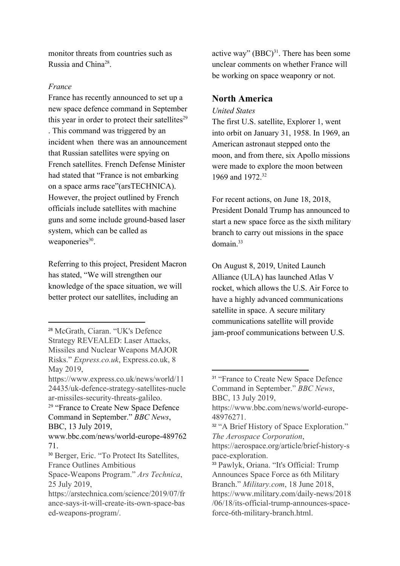monitor threats from countries such as Russia and China<sup>28</sup>.

#### *France*

France has recently announced to set up a new space defence command in September this year in order to protect their satellites $29$ . This command was triggered by an incident when there was an announcement that Russian satellites were spying on French satellites. French Defense Minister had stated that "France is not embarking on a space arms race"(arsTECHNICA). However, the project outlined by French officials include satellites with machine guns and some include ground-based laser system, which can be called as weaponeries<sup>30</sup>.

Referring to this project, President Macron has stated, "We will strengthen our knowledge of the space situation, we will better protect our satellites, including an

active way"  $(BBC)^{31}$ . There has been some unclear comments on whether France will be working on space weaponry or not.

#### **North America**

#### *United States*

The first U.S. satellite, Explorer 1, went into orbit on January 31, 1958. In 1969, an American astronaut stepped onto the moon, and from there, six Apollo missions were made to explore the moon between 1969 and 1972.<sup>32</sup>

For recent actions, on June 18, 2018, President Donald Trump has announced to start a new space force as the sixth military branch to carry out missions in the space  $domain<sup>33</sup>$ 

On August 8, 2019, United Launch Alliance (ULA) has launched Atlas V rocket, which allows the U.S. Air Force to have a highly advanced communications satellite in space. A secure military communications satellite will provide jam-proof communications between U.S.

<sup>28</sup> McGrath, Ciaran. "UK's Defence Strategy REVEALED: Laser Attacks, Missiles and Nuclear Weapons MAJOR Risks." *Express.co.uk*, Express.co.uk, 8 May 2019,

https://www.express.co.uk/news/world/11 24435/uk-defence-strategy-satellites-nucle ar-missiles-security-threats-galileo.

<sup>&</sup>lt;sup>29</sup> "France to Create New Space Defence Command in September." *BBC News*, BBC, 13 July 2019,

www.bbc.com/news/world-europe-489762 71.

<sup>30</sup> Berger, Eric. "To Protect Its Satellites, France Outlines Ambitious

Space-Weapons Program." *Ars Technica*, 25 July 2019,

https://arstechnica.com/science/2019/07/fr ance-says-it-will-create-its-own-space-bas ed-weapons-program/.

<sup>&</sup>lt;sup>31</sup> "France to Create New Space Defence Command in September." *BBC News*, BBC, 13 July 2019,

https://www.bbc.com/news/world-europe-48976271.

<sup>&</sup>lt;sup>32</sup> "A Brief History of Space Exploration." *The Aerospace Corporation*,

https://aerospace.org/article/brief-history-s pace-exploration.

<sup>33</sup> Pawlyk, Oriana. "It's Official: Trump Announces Space Force as 6th Military Branch." *Military.com*, 18 June 2018, https://www.military.com/daily-news/2018 /06/18/its-official-trump-announces-spaceforce-6th-military-branch.html.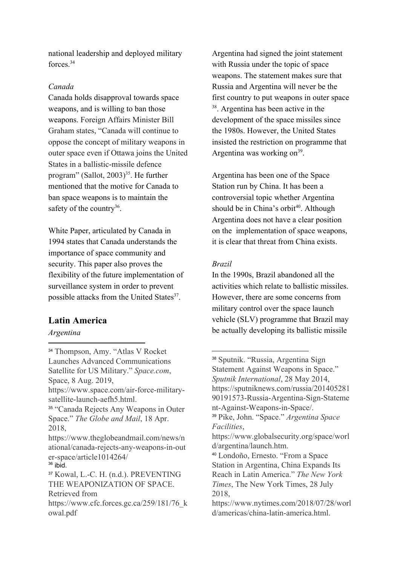national leadership and deployed military forces.<sup>34</sup>

#### *Canada*

Canada holds disapproval towards space weapons, and is willing to ban those weapons. Foreign Affairs Minister Bill Graham states, "Canada will continue to oppose the concept of military weapons in outer space even if Ottawa joins the United States in a ballistic-missile defence program" (Sallot,  $2003$ <sup>35</sup>. He further mentioned that the motive for Canada to ban space weapons is to maintain the safety of the country<sup>36</sup>.

White Paper, articulated by Canada in 1994 states that Canada understands the importance of space community and security. This paper also proves the flexibility of the future implementation of surveillance system in order to prevent possible attacks from the United States<sup>37</sup>.

#### **Latin America**

*Argentina*

<sup>34</sup> Thompson, Amy. "Atlas V Rocket Launches Advanced Communications Satellite for US Military." *Space.com*, Space, 8 Aug. 2019, https://www.space.com/air-force-militarysatellite-launch-aefh5.html. <sup>35</sup> "Canada Rejects Any Weapons in Outer Space." *The Globe and Mail*, 18 Apr. 2018, https://www.theglobeandmail.com/news/n ational/canada-rejects-any-weapons-in-out er-space/article1014264/  $36$  ibid. <sup>37</sup> Kowal, L.-C. H. (n.d.). PREVENTING THE WEAPONIZATION OF SPACE. Retrieved from https://www.cfc.forces.gc.ca/259/181/76\_k owal.pdf

Argentina had signed the joint statement with Russia under the topic of space weapons. The statement makes sure that Russia and Argentina will never be the first country to put weapons in outer space  $38$ . Argentina has been active in the development of the space missiles since the 1980s. However, the United States insisted the restriction on programme that Argentina was working on $^{39}$ .

Argentina has been one of the Space Station run by China. It has been a controversial topic whether Argentina should be in China's orbit<sup>40</sup>. Although Argentina does not have a clear position on the implementation of space weapons, it is clear that threat from China exists.

#### *Brazil*

In the 1990s, Brazil abandoned all the activities which relate to ballistic missiles. However, there are some concerns from military control over the space launch vehicle (SLV) programme that Brazil may be actually developing its ballistic missile

<sup>38</sup> Sputnik. "Russia, Argentina Sign Statement Against Weapons in Space." *Sputnik International*, 28 May 2014, https://sputniknews.com/russia/201405281 90191573-Russia-Argentina-Sign-Stateme nt-Against-Weapons-in-Space/. <sup>39</sup> Pike, John. "Space." *Argentina Space Facilities*, https://www.globalsecurity.org/space/worl d/argentina/launch.htm. <sup>40</sup> Londoño, Ernesto. "From a Space

Station in Argentina, China Expands Its Reach in Latin America." *The New York Times*, The New York Times, 28 July 2018,

https://www.nytimes.com/2018/07/28/worl d/americas/china-latin-america.html.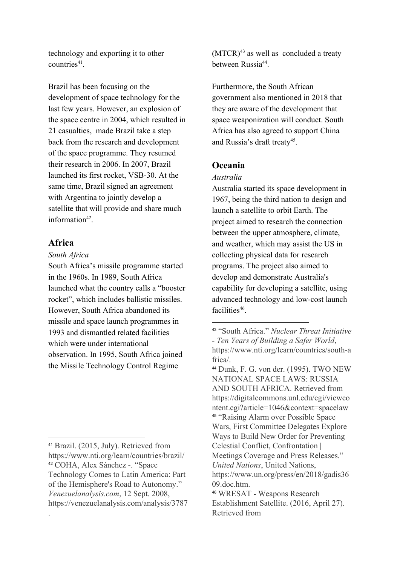technology and exporting it to other countries $41$ .

Brazil has been focusing on the development of space technology for the last few years. However, an explosion of the space centre in 2004, which resulted in 21 casualties, made Brazil take a step back from the research and development of the space programme. They resumed their research in 2006. In 2007, Brazil launched its first rocket, VSB-30. At the same time, Brazil signed an agreement with Argentina to jointly develop a satellite that will provide and share much information<sup>42</sup>.

#### **Africa**

.

#### *South Africa*

South Africa's missile programme started in the 1960s. In 1989, South Africa launched what the country calls a "booster rocket", which includes ballistic missiles. However, South Africa abandoned its missile and space launch programmes in 1993 and dismantled related facilities which were under international observation. In 1995, South Africa joined the Missile Technology Control Regime

 $(MTCR)<sup>43</sup>$  as well as concluded a treaty between Russia<sup>44</sup>.

Furthermore, the South African government also mentioned in 2018 that they are aware of the development that space weaponization will conduct. South Africa has also agreed to support China and Russia's draft treaty<sup>45</sup>.

#### **Oceania**

#### *Australia*

Australia started its space development in 1967, being the third nation to design and launch a satellite to orbit Earth. The project aimed to research the connection between the upper atmosphere, climate, and weather, which may assist the US in collecting physical data for research programs. The project also aimed to develop and demonstrate Australia's capability for developing a satellite, using advanced technology and low-cost launch facilities<sup>46</sup>.

<sup>44</sup> Dunk, F. G. von der. (1995). TWO NEW NATIONAL SPACE LAWS: RUSSIA AND SOUTH AFRICA. Retrieved from https://digitalcommons.unl.edu/cgi/viewco ntent.cgi?article=1046&context=spacelaw <sup>45</sup> "Raising Alarm over Possible Space Wars, First Committee Delegates Explore Ways to Build New Order for Preventing Celestial Conflict, Confrontation | Meetings Coverage and Press Releases." *United Nations*, United Nations, https://www.un.org/press/en/2018/gadis36 09.doc.htm.

<sup>41</sup> Brazil. (2015, July). Retrieved from https://www.nti.org/learn/countries/brazil/ <sup>42</sup> COHA, Alex Sánchez -. "Space Technology Comes to Latin America: Part of the Hemisphere's Road to Autonomy." *Venezuelanalysis.com*, 12 Sept. 2008, https://venezuelanalysis.com/analysis/3787

<sup>43</sup> "South Africa." *Nuclear Threat Initiative - Ten Years of Building a Safer World*, https://www.nti.org/learn/countries/south-a frica/.

<sup>46</sup> WRESAT - Weapons Research Establishment Satellite. (2016, April 27). Retrieved from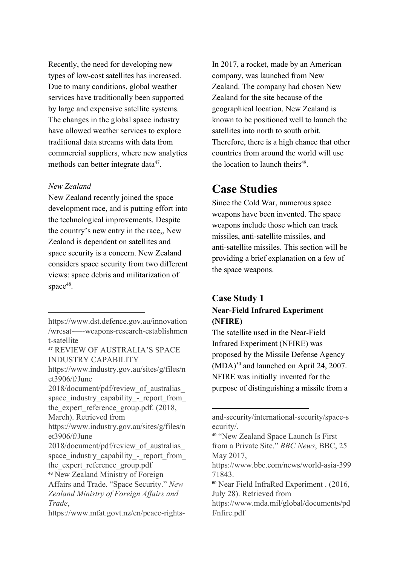Recently, the need for developing new types of low-cost satellites has increased. Due to many conditions, global weather services have traditionally been supported by large and expensive satellite systems. The changes in the global space industry have allowed weather services to explore traditional data streams with data from commercial suppliers, where new analytics methods can better integrate data<sup>47</sup>.

#### *New Zealand*

New Zealand recently joined the space development race, and is putting effort into the technological improvements. Despite the country's new entry in the race,, New Zealand is dependent on satellites and space security is a concern. New Zealand considers space security from two different views: space debris and militarization of space $48$ .

2018/document/pdf/review\_of\_australias\_ space industry capability - report from the expert reference\_group.pdf. (2018, March). Retrieved from

In 2017, a rocket, made by an American company, was launched from New Zealand. The company had chosen New Zealand for the site because of the geographical location. New Zealand is known to be positioned well to launch the satellites into north to south orbit. Therefore, there is a high chance that other countries from around the world will use the location to launch theirs<sup>49</sup>.

### **Case Studies**

Since the Cold War, numerous space weapons have been invented. The space weapons include those which can track missiles, anti-satellite missiles, and anti-satellite missiles. This section will be providing a brief explanation on a few of the space weapons.

#### **Case Study 1 Near-Field Infrared Experiment (NFIRE)**

The satellite used in the Near-Field Infrared Experiment (NFIRE) was proposed by the Missile Defense Agency  $(MDA)$ <sup>50</sup> and launched on April 24, 2007. NFIRE was initially invented for the purpose of distinguishing a missile from a

https://www.dst.defence.gov.au/innovation /wresat-—-weapons-research-establishmen t-satellite

<sup>47</sup> REVIEW OF AUSTRALIA'S SPACE INDUSTRY CAPABILITY

https://www.industry.gov.au/sites/g/files/n et3906/f/June

https://www.industry.gov.au/sites/g/files/n et3906/f/June

<sup>2018/</sup>document/pdf/review\_of\_australias\_ space industry capability - report from the expert reference group.pdf

<sup>48</sup> New Zealand Ministry of Foreign

Affairs and Trade. "Space Security." *New Zealand Ministry of Foreign Affairs and Trade*,

https://www.mfat.govt.nz/en/peace-rights-

and-security/international-security/space-s ecurity/.

<sup>49</sup> "New Zealand Space Launch Is First from a Private Site." *BBC News*, BBC, 25 May 2017,

https://www.bbc.com/news/world-asia-399 71843.

<sup>50</sup> Near Field InfraRed Experiment . (2016, July 28). Retrieved from

https://www.mda.mil/global/documents/pd f/nfire.pdf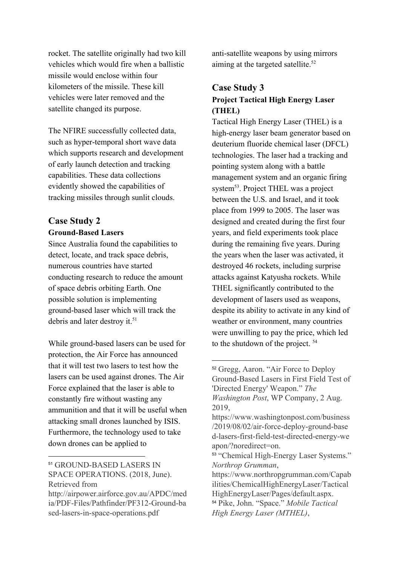rocket. The satellite originally had two kill vehicles which would fire when a ballistic missile would enclose within four kilometers of the missile. These kill vehicles were later removed and the satellite changed its purpose.

The NFIRE successfully collected data, such as hyper-temporal short wave data which supports research and development of early launch detection and tracking capabilities. These data collections evidently showed the capabilities of tracking missiles through sunlit clouds.

#### **Case Study 2 Ground-Based Lasers**

Since Australia found the capabilities to detect, locate, and track space debris, numerous countries have started conducting research to reduce the amount of space debris orbiting Earth. One possible solution is implementing ground-based laser which will track the debris and later destroy it.<sup>51</sup>

While ground-based lasers can be used for protection, the Air Force has announced that it will test two lasers to test how the lasers can be used against drones. The Air Force explained that the laser is able to constantly fire without wasting any ammunition and that it will be useful when attacking small drones launched by ISIS. Furthermore, the technology used to take down drones can be applied to

<sup>51</sup> GROUND-BASED LASERS IN SPACE OPERATIONS. (2018, June). Retrieved from

http://airpower.airforce.gov.au/APDC/med ia/PDF-Files/Pathfinder/PF312-Ground-ba sed-lasers-in-space-operations.pdf

anti-satellite weapons by using mirrors aiming at the targeted satellite.<sup>52</sup>

### **Case Study 3 Project Tactical High Energy Laser (THEL)**

Tactical High Energy Laser (THEL) is a high-energy laser beam generator based on deuterium fluoride chemical laser (DFCL) technologies. The laser had a tracking and pointing system along with a battle management system and an organic firing system<sup>53</sup>. Project THEL was a project between the U.S. and Israel, and it took place from 1999 to 2005. The laser was designed and created during the first four years, and field experiments took place during the remaining five years. During the years when the laser was activated, it destroyed 46 rockets, including surprise attacks against Katyusha rockets. While THEL significantly contributed to the development of lasers used as weapons, despite its ability to activate in any kind of weather or environment, many countries were unwilling to pay the price, which led to the shutdown of the project. <sup>54</sup>

<sup>52</sup> Gregg, Aaron. "Air Force to Deploy Ground-Based Lasers in First Field Test of 'Directed Energy' Weapon." *The Washington Post*, WP Company, 2 Aug. 2019,

https://www.washingtonpost.com/business /2019/08/02/air-force-deploy-ground-base d-lasers-first-field-test-directed-energy-we apon/?noredirect=on.

<sup>53</sup> "Chemical High-Energy Laser Systems." *Northrop Grumman*,

https://www.northropgrumman.com/Capab ilities/ChemicalHighEnergyLaser/Tactical HighEnergyLaser/Pages/default.aspx. <sup>54</sup> Pike, John. "Space." *Mobile Tactical High Energy Laser (MTHEL)*,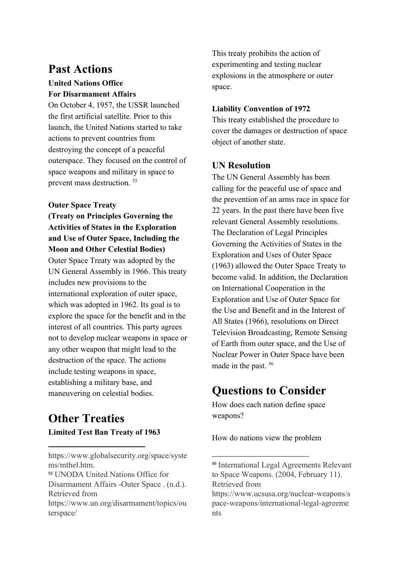### **Past Actions**

#### **United Nations Office For Disarmament Affairs**

On October 4, 1957, the USSR launched the first artificial satellite. Prior to this launch, the United Nations started to take actions to prevent countries from destroying the concept of a peaceful outerspace. They focused on the control of space weapons and military in space to prevent mass destruction. <sup>55</sup>

#### **Outer Space Treaty**

**(Treaty on Principles Governing the Activities of States in the Exploration and Use of Outer Space, Including the Moon and Other Celestial Bodies)**

Outer Space Treaty was adopted by the UN General Assembly in 1966. This treaty includes new provisions to the international exploration of outer space, which was adopted in 1962. Its goal is to explore the space for the benefit and in the interest of all countries. This party agrees not to develop nuclear weapons in space or any other weapon that might lead to the destruction of the space. The actions include testing weapons in space, establishing a military base, and maneuvering on celestial bodies.

### **Other Treaties Limited Test Ban Treaty of 1963**

https://www.globalsecurity.org/space/syste ms/mthel.htm. <sup>55</sup> UNODA United Nations Office for

Disarmament Affairs -Outer Space . (n.d.). Retrieved from

https://www.un.org/disarmament/topics/ou terspace/

This treaty prohibits the action of experimenting and testing nuclear explosions in the atmosphere or outer space.

#### **Liability Convention of 1972**

This treaty established the procedure to cover the damages or destruction of space object of another state.

#### **UN Resolution**

The UN General Assembly has been calling for the peaceful use of space and the prevention of an arms race in space for 22 years. In the past there have been five relevant General Assembly resolutions. The Declaration of Legal Principles Governing the Activities of States in the Exploration and Uses of Outer Space (1963) allowed the Outer Space Treaty to become valid. In addition, the Declaration on International Cooperation in the Exploration and Use of Outer Space for the Use and Benefit and in the Interest of All States (1966), resolutions on Direct Television Broadcasting, Remote Sensing of Earth from outer space, and the Use of Nuclear Power in Outer Space have been made in the past. <sup>56</sup>

# **Questions to Consider**

How does each nation define space weapons?

How do nations view the problem

<sup>56</sup> International Legal Agreements Relevant to Space Weapons. (2004, February 11). Retrieved from

https://www.ucsusa.org/nuclear-weapons/s pace-weapons/international-legal-agreeme nts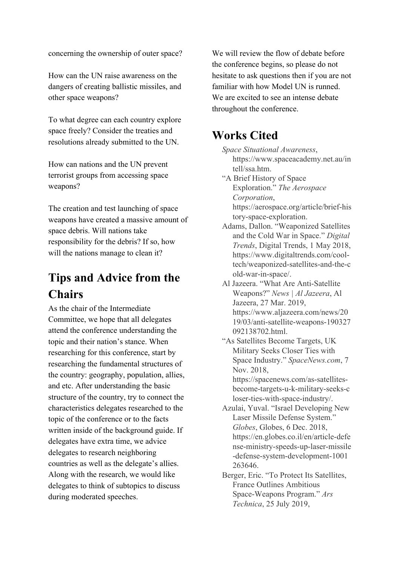concerning the ownership of outer space?

How can the UN raise awareness on the dangers of creating ballistic missiles, and other space weapons?

To what degree can each country explore space freely? Consider the treaties and resolutions already submitted to the UN.

How can nations and the UN prevent terrorist groups from accessing space weapons?

The creation and test launching of space weapons have created a massive amount of space debris. Will nations take responsibility for the debris? If so, how will the nations manage to clean it?

# **Tips and Advice from the Chairs**

As the chair of the Intermediate Committee, we hope that all delegates attend the conference understanding the topic and their nation's stance. When researching for this conference, start by researching the fundamental structures of the country: geography, population, allies, and etc. After understanding the basic structure of the country, try to connect the characteristics delegates researched to the topic of the conference or to the facts written inside of the background guide. If delegates have extra time, we advice delegates to research neighboring countries as well as the delegate's allies. Along with the research, we would like delegates to think of subtopics to discuss during moderated speeches.

We will review the flow of debate before the conference begins, so please do not hesitate to ask questions then if you are not familiar with how Model UN is runned. We are excited to see an intense debate throughout the conference.

# **Works Cited**

*Space Situational Awareness*, https://www.spaceacademy.net.au/in tell/ssa.htm.

"A Brief History of Space Exploration." *The Aerospace Corporation*, https://aerospace.org/article/brief-his tory-space-exploration.

- Adams, Dallon. "Weaponized Satellites and the Cold War in Space." *Digital Trends*, Digital Trends, 1 May 2018, https://www.digitaltrends.com/cooltech/weaponized-satellites-and-the-c old-war-in-space/.
- Al Jazeera. "What Are Anti-Satellite Weapons?" *News | Al Jazeera*, Al Jazeera, 27 Mar. 2019, https://www.aljazeera.com/news/20 19/03/anti-satellite-weapons-190327 092138702.html.
- "As Satellites Become Targets, UK Military Seeks Closer Ties with Space Industry." *SpaceNews.com*, 7 Nov. 2018, https://spacenews.com/as-satellites-

become-targets-u-k-military-seeks-c loser-ties-with-space-industry/.

- Azulai, Yuval. "Israel Developing New Laser Missile Defense System." *Globes*, Globes, 6 Dec. 2018, https://en.globes.co.il/en/article-defe nse-ministry-speeds-up-laser-missile -defense-system-development-1001 263646.
- Berger, Eric. "To Protect Its Satellites, France Outlines Ambitious Space-Weapons Program." *Ars Technica*, 25 July 2019,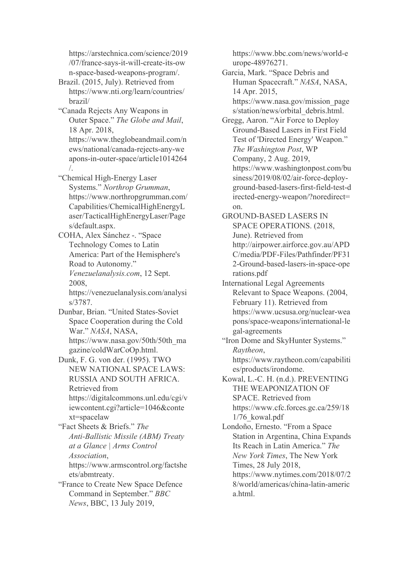https://arstechnica.com/science/2019 /07/france-says-it-will-create-its-ow n-space-based-weapons-program/.

Brazil. (2015, July). Retrieved from https://www.nti.org/learn/countries/ brazil/

"Canada Rejects Any Weapons in Outer Space." *The Globe and Mail*, 18 Apr. 2018, https://www.theglobeandmail.com/n ews/national/canada-rejects-any-we apons-in-outer-space/article1014264

/. "Chemical High-Energy Laser Systems." *Northrop Grumman*, https://www.northropgrumman.com/ Capabilities/ChemicalHighEnergyL aser/TacticalHighEnergyLaser/Page s/default.aspx.

COHA, Alex Sánchez -. "Space Technology Comes to Latin America: Part of the Hemisphere's Road to Autonomy." *Venezuelanalysis.com*, 12 Sept. 2008,

https://venezuelanalysis.com/analysi s/3787.

Dunbar, Brian. "United States-Soviet Space Cooperation during the Cold War." *NASA*, NASA, https://www.nasa.gov/50th/50th\_ma gazine/coldWarCoOp.html.

Dunk, F. G. von der. (1995). TWO NEW NATIONAL SPACE LAWS: RUSSIA AND SOUTH AFRICA. Retrieved from https://digitalcommons.unl.edu/cgi/v iewcontent.cgi?article=1046&conte xt=spacelaw

"Fact Sheets & Briefs." *The Anti-Ballistic Missile (ABM) Treaty at a Glance | Arms Control Association*, https://www.armscontrol.org/factshe

ets/abmtreaty.

"France to Create New Space Defence Command in September." *BBC News*, BBC, 13 July 2019,

https://www.bbc.com/news/world-e urope-48976271.

Garcia, Mark. "Space Debris and Human Spacecraft." *NASA*, NASA, 14 Apr. 2015, https://www.nasa.gov/mission\_page

s/station/news/orbital\_debris.html.

Gregg, Aaron. "Air Force to Deploy Ground-Based Lasers in First Field Test of 'Directed Energy' Weapon." *The Washington Post*, WP Company, 2 Aug. 2019, https://www.washingtonpost.com/bu siness/2019/08/02/air-force-deployground-based-lasers-first-field-test-d irected-energy-weapon/?noredirect= on.

GROUND-BASED LASERS IN SPACE OPERATIONS. (2018, June). Retrieved from http://airpower.airforce.gov.au/APD C/media/PDF-Files/Pathfinder/PF31 2-Ground-based-lasers-in-space-ope rations.pdf

International Legal Agreements Relevant to Space Weapons. (2004, February 11). Retrieved from https://www.ucsusa.org/nuclear-wea pons/space-weapons/international-le gal-agreements

"Iron Dome and SkyHunter Systems." *Raytheon*, https://www.raytheon.com/capabiliti es/products/irondome.

Kowal, L.-C. H. (n.d.). PREVENTING THE WEAPONIZATION OF SPACE. Retrieved from https://www.cfc.forces.gc.ca/259/18 1/76\_kowal.pdf

Londoño, Ernesto. "From a Space Station in Argentina, China Expands Its Reach in Latin America." *The New York Times*, The New York Times, 28 July 2018, https://www.nytimes.com/2018/07/2 8/world/americas/china-latin-americ a.html.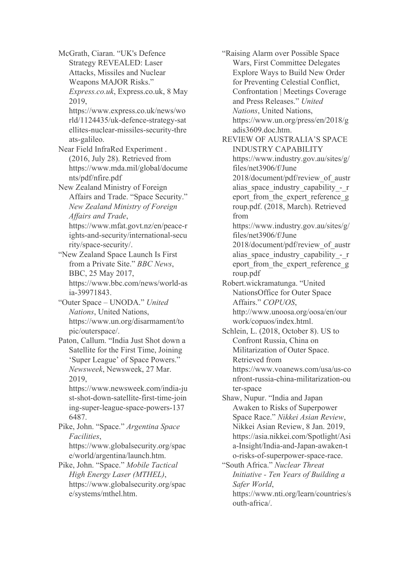McGrath, Ciaran. "UK's Defence Strategy REVEALED: Laser Attacks, Missiles and Nuclear Weapons MAJOR Risks." *Express.co.uk*, Express.co.uk, 8 May

2019, https://www.express.co.uk/news/wo rld/1124435/uk-defence-strategy-sat ellites-nuclear-missiles-security-thre ats-galileo.

Near Field InfraRed Experiment . (2016, July 28). Retrieved from https://www.mda.mil/global/docume nts/pdf/nfire.pdf

New Zealand Ministry of Foreign Affairs and Trade. "Space Security." *New Zealand Ministry of Foreign Affairs and Trade*, https://www.mfat.govt.nz/en/peace-r

ights-and-security/international-secu rity/space-security/.

"New Zealand Space Launch Is First from a Private Site." *BBC News*, BBC, 25 May 2017, https://www.bbc.com/news/world-as ia-39971843.

"Outer Space – UNODA." *United Nations*, United Nations, https://www.un.org/disarmament/to pic/outerspace/.

Paton, Callum. "India Just Shot down a Satellite for the First Time, Joining 'Super League' of Space Powers." *Newsweek*, Newsweek, 27 Mar. 2019,

https://www.newsweek.com/india-ju st-shot-down-satellite-first-time-join ing-super-league-space-powers-137 6487.

Pike, John. "Space." *Argentina Space Facilities*,

https://www.globalsecurity.org/spac e/world/argentina/launch.htm.

Pike, John. "Space." *Mobile Tactical High Energy Laser (MTHEL)*, https://www.globalsecurity.org/spac e/systems/mthel.htm.

"Raising Alarm over Possible Space Wars, First Committee Delegates Explore Ways to Build New Order for Preventing Celestial Conflict, Confrontation | Meetings Coverage and Press Releases." *United Nations*, United Nations, https://www.un.org/press/en/2018/g adis3609.doc.htm. REVIEW OF AUSTRALIA'S SPACE INDUSTRY CAPABILITY https://www.industry.gov.au/sites/g/ files/net3906/f/June 2018/document/pdf/review\_of\_austr alias space industry capability - r eport from the expert reference g roup.pdf. (2018, March). Retrieved from https://www.industry.gov.au/sites/g/ files/net3906/f/June 2018/document/pdf/review\_of\_austr alias space industry capability - r eport from the expert reference g roup.pdf Robert.wickramatunga. "United NationsOffice for Outer Space Affairs." *COPUOS*, http://www.unoosa.org/oosa/en/our work/copuos/index.html. Schlein, L. (2018, October 8). US to Confront Russia, China on Militarization of Outer Space. Retrieved from https://www.voanews.com/usa/us-co nfront-russia-china-militarization-ou ter-space Shaw, Nupur. "India and Japan Awaken to Risks of Superpower Space Race." *Nikkei Asian Review*, Nikkei Asian Review, 8 Jan. 2019, https://asia.nikkei.com/Spotlight/Asi a-Insight/India-and-Japan-awaken-t o-risks-of-superpower-space-race. "South Africa." *Nuclear Threat Initiative - Ten Years of Building a Safer World*, https://www.nti.org/learn/countries/s outh-africa/.